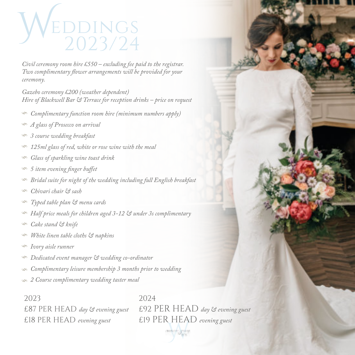

*Civil ceremony room hire £550 – excluding fee paid to the registrar. Two complimentary flower arrangements will be provided for your ceremony.*

*Gazebo ceremony £200 (weather dependent) Hire of Blackwell Bar & Terrace for reception drinks – price on request*

- *Complimentary function room hire (minimum numbers apply)*
- *A glass of Prosecco on arrival*
- *3 course wedding breakfast*
- *125ml glass of red, white or rose wine with the meal*
- *Glass of sparkling wine toast drink*
- *5 item evening finger buffet*
- *Bridal suite for night of the wedding including full English breakfast*
- *Chivari chair & sash*
- *Typed table plan & menu cards*
- *Half price meals for children aged 3-12 & under 3s complimentary*
- *Cake stand & knife*
- *White linen table cloths & napkins*
- *Ivory aisle runner*
- *Dedicated event manager & wedding co-ordinator*
- *Complimentary leisure membership 3 months prior to wedding*
- *2 Course complimentary wedding taster meal*

2023 2024 £18 PER HEAD *evening guest* £19 PER HEAD *evening guest*

William £87 PER HEAD *day & evening guest* £92 PER HEAD *day & evening guest*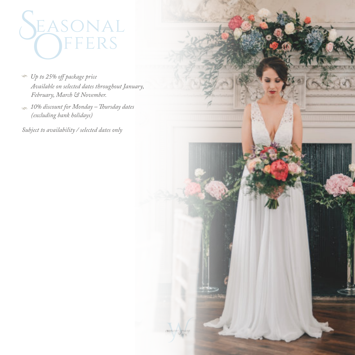

- *Up to 25% off package price Available on selected dates throughout January, February, March & November.*
- *10% discount for Monday Thursday dates (excluding bank holidays)*

*Subject to availability / selected dates only*

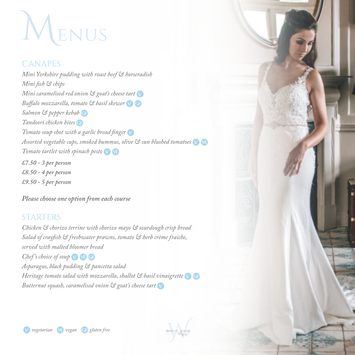### **MENUS**

### CANAPES

*Mini Yorkshire pudding with roast beef & horseradish Mini fish & chips Mini caramelised red onion & goat's cheese tart Buffalo mozzarella, tomato & basil skewer Salmon & pepper kebab Tandoori chicken bites Tomato soup shot with a garlic bread finger Assorted vegetable cups, smoked hummus, olive & sun blushed tomatoes* **Ve** *Tomato tartlet with spinach pesto* **Ve**

*£7.50 - 3 per person £8.50 - 4 per person £9.50 - 5 per person*

*Please choose one option from each course*

### STARTERS

*Chicken & chorizo terrine with chorizo mayo & sourdough crisp bread Salad of crayfish & freshwater prawns, tomato & herb crème fraiche, served with malted bloomer bread Chef's choice of soup Asparagus, black pudding & pancetta salad Heritage tomato salad with mozzarella, shallot & basil vinaigrette Butternut squash, caramelised onion & goat's cheese tart*

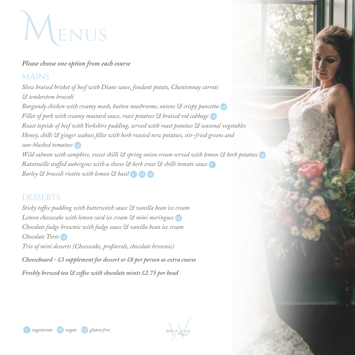### **MENUS**

### *Please choose one option from each course*

### MAINS

*Slow braised brisket of beef with Diane sauce, fondant potato, Chantennay carrots & tenderstem broccoli Burgundy chicken with creamy mash, button mushrooms, onions & crispy pancetta Fillet of pork with creamy mustard sauce, roast potatoes*  $\Im$  *braised red cabbage Roast topside of beef with Yorkshire pudding, served with roast potatoes & seasonal vegetables Honey, chilli & ginger seabass fillet with herb roasted new potatoes, stir-fried greens and sun-blushed tomatoes Wild salmon with samphire, sweet chilli & spring onion cream served with lemon & herb potatoes Ratatouille stuffed aubergine with a cheese & herb crust & chilli tomato sauce Barley & broccoli risotto with lemon & basil* **Ve**

### DESSERTS

*Sticky toffee pudding with butterscotch sauce & vanilla bean ice cream Lemon cheesecake with lemon curd ice cream & mini meringues Chocolate fudge brownie with fudge sauce & vanilla bean ice cream Chocolate Torte* **Ve** *Trio of mini desserts (Cheesecake, profiterole, chocolate brownie) Cheeseboard - £3 supplement for dessert or £8 per person as extra course Freshly brewed tea & coffee with chocolate mints £2.75 per head*

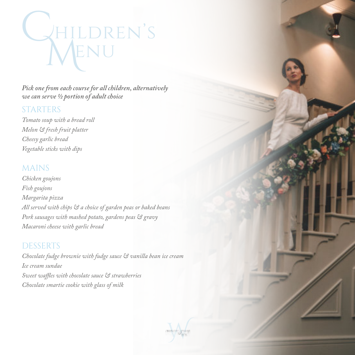# WHILDREN'S

*Pick one from each course for all children, alternatively we can serve ½ portion of adult choice*

### STARTERS

*Tomato soup with a bread roll Melon & fresh fruit platter Cheesy garlic bread Vegetable sticks with dips*

### MAINS

*Chicken goujons Fish goujons Margarita pizza All served with chips & a choice of garden peas or baked beans Pork sausages with mashed potato, gardens peas & gravy Macaroni cheese with garlic bread*

### DESSERTS

*Chocolate fudge brownie with fudge sauce & vanilla bean ice cream Ice cream sundae Sweet waffles with chocolate sauce & strawberries Chocolate smartie cookie with glass of milk*

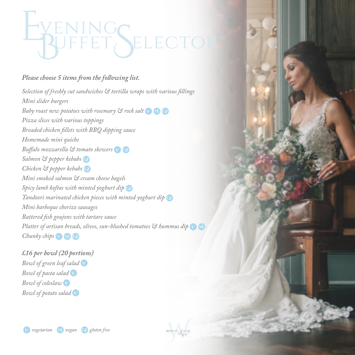# EVENING<br>BUFFET SELECTOR

### *Please choose 5 items from the following list.*

*Selection of freshly cut sandwiches & tortilla wraps with various fillings Mini slider burgers Baby roast new potatoes with rosemary & rock salt* **Ve** *Pizza slices with various toppings Breaded chicken fillets with BBQ dipping sauce Homemade mini quiche Buffalo mozzarella & tomato skewers Salmon & pepper kebabs Chicken & pepper kebabs Mini smoked salmon & cream cheese bagels Spicy lamb koftas with minted yoghurt dip Tandoori marinated chicken pieces with minted yoghurt dip Mini barbeque chorizo sausages Battered fish goujons with tartare sauce Platter of artisan breads, olives, sun-blushed tomatoes & hummus dip* **Ve** *Chunky chips*  $\bigvee$  **VE** 

*£16 per bowl (20 portions) Bowl of green leaf salad Bowl of pasta salad Bowl of coleslaw Bowl of potato salad*

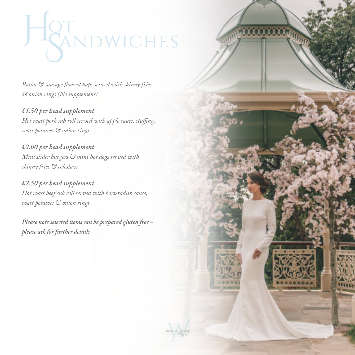## HIGT MOWICHES

*Bacon & sausage floured baps served with skinny fries & onion rings (No supplement)*

*£1.50 per head supplement Hot roast pork sub roll served with apple sauce, stuffing, roast potatoes & onion rings*

*£2.00 per head supplement Mini slider burgers & mini hot dogs served with skinny fries & coleslaw*

*£2.50 per head supplement Hot roast beef sub roll served with horseradish sauce, roast potatoes & onion rings*

*Please note selected items can be prepared gluten free please ask for further details*



000000